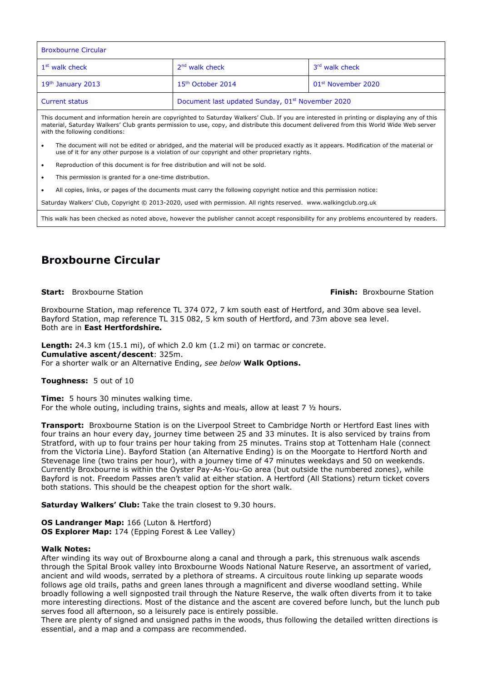| <b>Broxbourne Circular</b> |                                                              |                                |
|----------------------------|--------------------------------------------------------------|--------------------------------|
| 1 <sup>st</sup> walk check | 2 <sup>nd</sup> walk check                                   | 3rd walk check                 |
| $19th$ January 2013        | 15 <sup>th</sup> October 2014                                | 01 <sup>st</sup> November 2020 |
| <b>Current status</b>      | Document last updated Sunday, 01 <sup>st</sup> November 2020 |                                |

This document and information herein are copyrighted to Saturday Walkers' Club. If you are interested in printing or displaying any of this material, Saturday Walkers' Club grants permission to use, copy, and distribute this document delivered from this World Wide Web server with the following conditions:

- The document will not be edited or abridged, and the material will be produced exactly as it appears. Modification of the material or use of it for any other purpose is a violation of our copyright and other proprietary rights.
- Reproduction of this document is for free distribution and will not be sold.
- This permission is granted for a one-time distribution.
- All copies, links, or pages of the documents must carry the following copyright notice and this permission notice:

Saturday Walkers' Club, Copyright © 2013-2020, used with permission. All rights reserved. www.walkingclub.org.uk

This walk has been checked as noted above, however the publisher cannot accept responsibility for any problems encountered by readers.

# **Broxbourne Circular**

### **Start:** Broxbourne Station **Finish:** Broxbourne Station

Broxbourne Station, map reference TL 374 072, 7 km south east of Hertford, and 30m above sea level. Bayford Station, map reference TL 315 082, 5 km south of Hertford, and 73m above sea level. Both are in **East Hertfordshire.**

**Length:** 24.3 km (15.1 mi), of which 2.0 km (1.2 mi) on tarmac or concrete. **Cumulative ascent/descent**: 325m. For a shorter walk or an Alternative Ending, *see below* **Walk Options.**

**Toughness:** 5 out of 10

**Time:** 5 hours 30 minutes walking time. For the whole outing, including trains, sights and meals, allow at least 7 ½ hours.

**Transport:** Broxbourne Station is on the Liverpool Street to Cambridge North or Hertford East lines with four trains an hour every day, journey time between 25 and 33 minutes. It is also serviced by trains from Stratford, with up to four trains per hour taking from 25 minutes. Trains stop at Tottenham Hale (connect from the Victoria Line). Bayford Station (an Alternative Ending) is on the Moorgate to Hertford North and Stevenage line (two trains per hour), with a journey time of 47 minutes weekdays and 50 on weekends. Currently Broxbourne is within the Oyster Pay-As-You-Go area (but outside the numbered zones), while Bayford is not. Freedom Passes aren't valid at either station. A Hertford (All Stations) return ticket covers both stations. This should be the cheapest option for the short walk.

**Saturday Walkers' Club:** Take the train closest to 9.30 hours.

**OS Landranger Map:** 166 (Luton & Hertford) **OS Explorer Map:** 174 (Epping Forest & Lee Valley)

## **Walk Notes:**

After winding its way out of Broxbourne along a canal and through a park, this strenuous walk ascends through the Spital Brook valley into Broxbourne Woods National Nature Reserve, an assortment of varied, ancient and wild woods, serrated by a plethora of streams. A circuitous route linking up separate woods follows age old trails, paths and green lanes through a magnificent and diverse woodland setting. While broadly following a well signposted trail through the Nature Reserve, the walk often diverts from it to take more interesting directions. Most of the distance and the ascent are covered before lunch, but the lunch pub serves food all afternoon, so a leisurely pace is entirely possible.

There are plenty of signed and unsigned paths in the woods, thus following the detailed written directions is essential, and a map and a compass are recommended.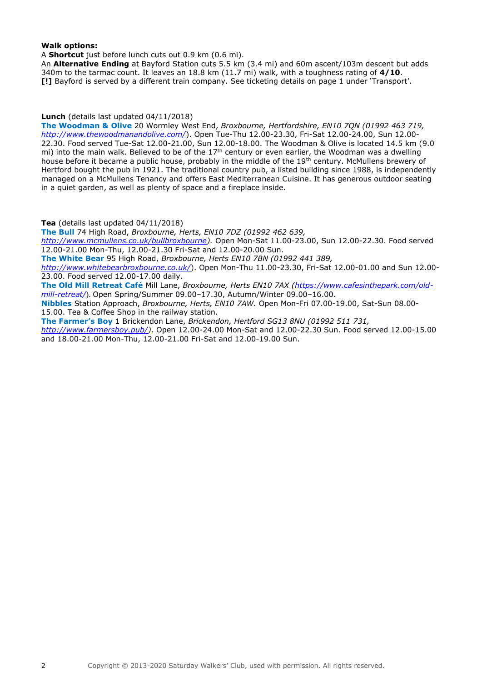## **Walk options:**

A **Shortcut** just before lunch cuts out 0.9 km (0.6 mi).

An **Alternative Ending** at Bayford Station cuts 5.5 km (3.4 mi) and 60m ascent/103m descent but adds 340m to the tarmac count. It leaves an 18.8 km (11.7 mi) walk, with a toughness rating of **4/10**. **[!]** Bayford is served by a different train company. See ticketing details on page 1 under 'Transport'.

## **Lunch** (details last updated 04/11/2018)

**The Woodman & Olive** 20 Wormley West End, *Broxbourne, Hertfordshire, EN10 7QN (01992 463 719, <http://www.thewoodmanandolive.com/>*). Open Tue-Thu 12.00-23.30, Fri-Sat 12.00-24.00, Sun 12.00- 22.30. Food served Tue-Sat 12.00-21.00, Sun 12.00-18.00. The Woodman & Olive is located 14.5 km (9.0 mi) into the main walk. Believed to be of the  $17<sup>th</sup>$  century or even earlier, the Woodman was a dwelling house before it became a public house, probably in the middle of the 19<sup>th</sup> century. McMullens brewery of Hertford bought the pub in 1921. The traditional country pub, a listed building since 1988, is independently managed on a McMullens Tenancy and offers East Mediterranean Cuisine. It has generous outdoor seating in a quiet garden, as well as plenty of space and a fireplace inside.

**Tea** (details last updated 04/11/2018)

**The Bull** 74 High Road, *Broxbourne, Herts, EN10 7DZ (01992 462 639,* 

*[http://www.mcmullens.co.uk/bullbroxbourne\)](http://www.mcmullens.co.uk/bullbroxbourne).* Open Mon-Sat 11.00-23.00, Sun 12.00-22.30. Food served 12.00-21.00 Mon-Thu, 12.00-21.30 Fri-Sat and 12.00-20.00 Sun.

**The White Bear** 95 High Road, *Broxbourne, Herts EN10 7BN (01992 441 389,* 

*<http://www.whitebearbroxbourne.co.uk/>*). Open Mon-Thu 11.00-23.30, Fri-Sat 12.00-01.00 and Sun 12.00- 23.00. Food served 12.00-17.00 daily.

**The Old Mill Retreat Café** Mill Lane, *Broxbourne, Herts EN10 7AX [\(https://www.cafesinthepark.com/old](https://www.cafesinthepark.com/old-mill-retreat/)[mill-retreat/](https://www.cafesinthepark.com/old-mill-retreat/)*). Open Spring/Summer 09.00–17.30, Autumn/Winter 09.00–16.00.

**Nibbles** Station Approach, *Broxbourne, Herts, EN10 7AW.* Open Mon-Fri 07.00-19.00, Sat-Sun 08.00- 15.00. Tea & Coffee Shop in the railway station.

**The Farmer's Boy** 1 Brickendon Lane, *Brickendon, Hertford SG13 8NU (01992 511 731, [http://www.farmersboy.pub/\)](http://www.farmersboy.pub/)*. Open 12.00-24.00 Mon-Sat and 12.00-22.30 Sun. Food served 12.00-15.00 and 18.00-21.00 Mon-Thu, 12.00-21.00 Fri-Sat and 12.00-19.00 Sun.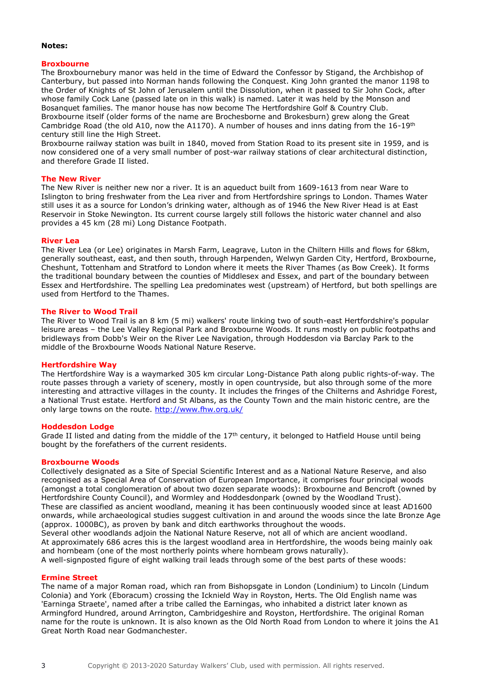### **Notes:**

## **Broxbourne**

The Broxbournebury manor was held in the time of Edward the Confessor by Stigand, the Archbishop of Canterbury, but passed into Norman hands following the Conquest. King John granted the manor 1198 to the Order of Knights of St John of Jerusalem until the Dissolution, when it passed to Sir John Cock, after whose family Cock Lane (passed late on in this walk) is named. Later it was held by the Monson and Bosanquet families. The manor house has now become The Hertfordshire Golf & Country Club. Broxbourne itself (older forms of the name are Brochesborne and Brokesburn) grew along the Great Cambridge Road (the old A10, now the A1170). A number of houses and inns dating from the 16-19<sup>th</sup> century still line the High Street.

Broxbourne railway station was built in 1840, moved from Station Road to its present site in 1959, and is now considered one of a very small number of post-war railway stations of clear architectural distinction, and therefore Grade II listed.

### **The New River**

The New River is neither new nor a river. It is an aqueduct built from 1609-1613 from near Ware to Islington to bring freshwater from the Lea river and from Hertfordshire springs to London. Thames Water still uses it as a source for London's drinking water, although as of 1946 the New River Head is at East Reservoir in Stoke Newington. Its current course largely still follows the historic water channel and also provides a 45 km (28 mi) Long Distance Footpath.

#### **River Lea**

The River Lea (or Lee) originates in Marsh Farm, Leagrave, Luton in the Chiltern Hills and flows for 68km, generally southeast, east, and then south, through Harpenden, Welwyn Garden City, Hertford, Broxbourne, Cheshunt, Tottenham and Stratford to London where it meets the River Thames (as Bow Creek). It forms the traditional boundary between the counties of Middlesex and Essex, and part of the boundary between Essex and Hertfordshire. The spelling Lea predominates west (upstream) of Hertford, but both spellings are used from Hertford to the Thames.

#### **The River to Wood Trail**

The River to Wood Trail is an 8 km (5 mi) walkers' route linking two of south-east Hertfordshire's popular leisure areas – the Lee Valley Regional Park and Broxbourne Woods. It runs mostly on public footpaths and bridleways from Dobb's Weir on the River Lee Navigation, through Hoddesdon via Barclay Park to the middle of the Broxbourne Woods National Nature Reserve.

#### **Hertfordshire Way**

The Hertfordshire Way is a waymarked 305 km circular Long-Distance Path along public rights-of-way. The route passes through a variety of scenery, mostly in open countryside, but also through some of the more interesting and attractive villages in the county. It includes the fringes of the Chilterns and Ashridge Forest, a National Trust estate. Hertford and St Albans, as the County Town and the main historic centre, are the only large towns on the route.<http://www.fhw.org.uk/>

#### **Hoddesdon Lodge**

Grade II listed and dating from the middle of the 17<sup>th</sup> century, it belonged to Hatfield House until being bought by the forefathers of the current residents.

#### **Broxbourne Woods**

Collectively designated as a Site of Special Scientific Interest and as a National Nature Reserve, and also recognised as a Special Area of Conservation of European Importance, it comprises four principal woods (amongst a total conglomeration of about two dozen separate woods): Broxbourne and Bencroft (owned by Hertfordshire County Council), and Wormley and Hoddesdonpark (owned by the Woodland Trust). These are classified as ancient woodland, meaning it has been continuously wooded since at least AD1600 onwards, while archaeological studies suggest cultivation in and around the woods since the late Bronze Age (approx. 1000BC), as proven by bank and ditch earthworks throughout the woods. Several other woodlands adjoin the National Nature Reserve, not all of which are ancient woodland.

At approximately 686 acres this is the largest woodland area in Hertfordshire, the woods being mainly oak and hornbeam (one of the most northerly points where hornbeam grows naturally).

A well-signposted figure of eight walking trail leads through some of the best parts of these woods:

#### **Ermine Street**

The name of a major Roman road, which ran from Bishopsgate in London (Londinium) to Lincoln (Lindum Colonia) and York (Eboracum) crossing the Icknield Way in Royston, Herts. The Old English name was 'Earninga Straete', named after a tribe called the Earningas, who inhabited a district later known as Armingford Hundred, around Arrington, Cambridgeshire and Royston, Hertfordshire. The original Roman name for the route is unknown. It is also known as the Old North Road from London to where it joins the A1 Great North Road near Godmanchester.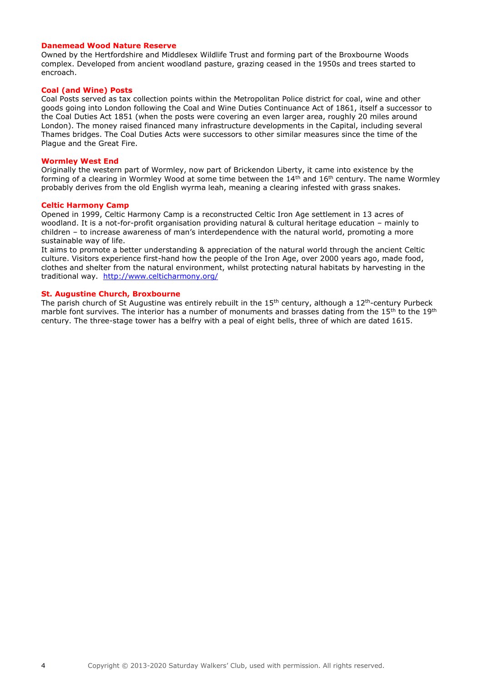## **Danemead Wood Nature Reserve**

Owned by the Hertfordshire and Middlesex Wildlife Trust and forming part of the Broxbourne Woods complex. Developed from ancient woodland pasture, grazing ceased in the 1950s and trees started to encroach.

#### **Coal (and Wine) Posts**

Coal Posts served as tax collection points within the Metropolitan Police district for coal, wine and other goods going into London following the Coal and Wine Duties Continuance Act of 1861, itself a successor to the Coal Duties Act 1851 (when the posts were covering an even larger area, roughly 20 miles around London). The money raised financed many infrastructure developments in the Capital, including several Thames bridges. The Coal Duties Acts were successors to other similar measures since the time of the Plague and the Great Fire.

#### **Wormley West End**

Originally the western part of Wormley, now part of Brickendon Liberty, it came into existence by the forming of a clearing in Wormley Wood at some time between the  $14<sup>th</sup>$  and  $16<sup>th</sup>$  century. The name Wormley probably derives from the old English wyrma leah, meaning a clearing infested with grass snakes.

#### **Celtic Harmony Camp**

Opened in 1999, Celtic Harmony Camp is a reconstructed Celtic Iron Age settlement in 13 acres of woodland. It is a not-for-profit organisation providing natural & cultural heritage education – mainly to children – to increase awareness of man's interdependence with the natural world, promoting a more sustainable way of life.

It aims to promote a better understanding & appreciation of the natural world through the ancient Celtic culture. Visitors experience first-hand how the people of the Iron Age, over 2000 years ago, made food, clothes and shelter from the natural environment, whilst protecting natural habitats by harvesting in the traditional way. <http://www.celticharmony.org/>

#### **St. Augustine Church, Broxbourne**

The parish church of St Augustine was entirely rebuilt in the  $15<sup>th</sup>$  century, although a  $12<sup>th</sup>$ -century Purbeck marble font survives. The interior has a number of monuments and brasses dating from the 15<sup>th</sup> to the 19<sup>th</sup> century. The three-stage tower has a belfry with a peal of eight bells, three of which are dated 1615.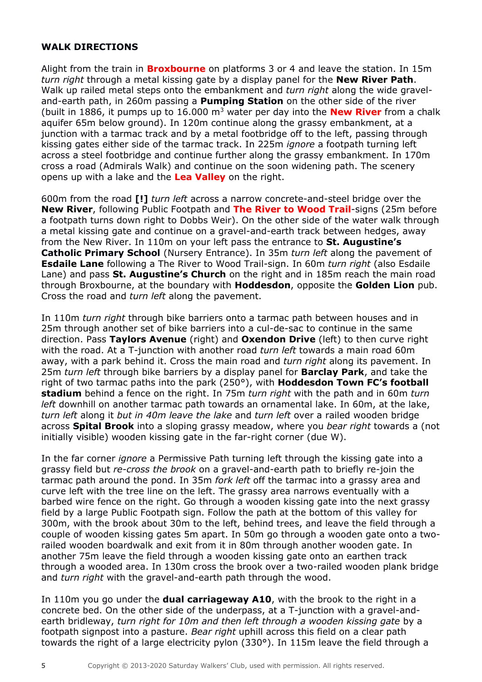## **WALK DIRECTIONS**

Alight from the train in **Broxbourne** on platforms 3 or 4 and leave the station. In 15m *turn right* through a metal kissing gate by a display panel for the **New River Path**. Walk up railed metal steps onto the embankment and *turn right* along the wide graveland-earth path, in 260m passing a **Pumping Station** on the other side of the river (built in 1886, it pumps up to 16.000 m<sup>3</sup> water per day into the **New River** from a chalk aquifer 65m below ground). In 120m continue along the grassy embankment, at a junction with a tarmac track and by a metal footbridge off to the left, passing through kissing gates either side of the tarmac track. In 225m *ignore* a footpath turning left across a steel footbridge and continue further along the grassy embankment. In 170m cross a road (Admirals Walk) and continue on the soon widening path. The scenery opens up with a lake and the **Lea Valley** on the right.

600m from the road **[!]** *turn left* across a narrow concrete-and-steel bridge over the **New River**, following Public Footpath and **The River to Wood Trail**-signs (25m before a footpath turns down right to Dobbs Weir). On the other side of the water walk through a metal kissing gate and continue on a gravel-and-earth track between hedges, away from the New River. In 110m on your left pass the entrance to **St. Augustine's Catholic Primary School** (Nursery Entrance). In 35m *turn left* along the pavement of **Esdaile Lane** following a The River to Wood Trail-sign. In 60m *turn right* (also Esdaile Lane) and pass **St. Augustine's Church** on the right and in 185m reach the main road through Broxbourne, at the boundary with **Hoddesdon**, opposite the **Golden Lion** pub. Cross the road and *turn left* along the pavement.

In 110m *turn right* through bike barriers onto a tarmac path between houses and in 25m through another set of bike barriers into a cul-de-sac to continue in the same direction. Pass **Taylors Avenue** (right) and **Oxendon Drive** (left) to then curve right with the road. At a T-junction with another road *turn left* towards a main road 60m away, with a park behind it. Cross the main road and *turn right* along its pavement. In 25m *turn left* through bike barriers by a display panel for **Barclay Park**, and take the right of two tarmac paths into the park (250°), with **Hoddesdon Town FC's football stadium** behind a fence on the right. In 75m *turn right* with the path and in 60m *turn left* downhill on another tarmac path towards an ornamental lake. In 60m, at the lake, *turn left* along it *but in 40m leave the lake* and *turn left* over a railed wooden bridge across **Spital Brook** into a sloping grassy meadow, where you *bear right* towards a (not initially visible) wooden kissing gate in the far-right corner (due W).

In the far corner *ignore* a Permissive Path turning left through the kissing gate into a grassy field but *re-cross the brook* on a gravel-and-earth path to briefly re-join the tarmac path around the pond. In 35m *fork left* off the tarmac into a grassy area and curve left with the tree line on the left. The grassy area narrows eventually with a barbed wire fence on the right. Go through a wooden kissing gate into the next grassy field by a large Public Footpath sign. Follow the path at the bottom of this valley for 300m, with the brook about 30m to the left, behind trees, and leave the field through a couple of wooden kissing gates 5m apart. In 50m go through a wooden gate onto a tworailed wooden boardwalk and exit from it in 80m through another wooden gate. In another 75m leave the field through a wooden kissing gate onto an earthen track through a wooded area. In 130m cross the brook over a two-railed wooden plank bridge and *turn right* with the gravel-and-earth path through the wood.

In 110m you go under the **dual carriageway A10**, with the brook to the right in a concrete bed. On the other side of the underpass, at a T-junction with a gravel-andearth bridleway, *turn right for 10m and then left through a wooden kissing gate* by a footpath signpost into a pasture. *Bear right* uphill across this field on a clear path towards the right of a large electricity pylon (330°). In 115m leave the field through a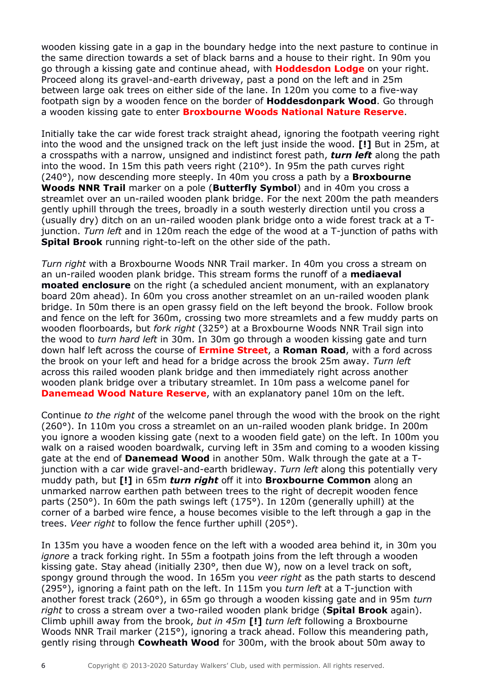wooden kissing gate in a gap in the boundary hedge into the next pasture to continue in the same direction towards a set of black barns and a house to their right. In 90m you go through a kissing gate and continue ahead, with **Hoddesdon Lodge** on your right. Proceed along its gravel-and-earth driveway, past a pond on the left and in 25m between large oak trees on either side of the lane. In 120m you come to a five-way footpath sign by a wooden fence on the border of **Hoddesdonpark Wood**. Go through a wooden kissing gate to enter **Broxbourne Woods National Nature Reserve**.

Initially take the car wide forest track straight ahead, ignoring the footpath veering right into the wood and the unsigned track on the left just inside the wood. **[!]** But in 25m, at a crosspaths with a narrow, unsigned and indistinct forest path, *turn left* along the path into the wood. In 15m this path veers right  $(210^{\circ})$ . In 95m the path curves right (240°), now descending more steeply. In 40m you cross a path by a **Broxbourne Woods NNR Trail** marker on a pole (**Butterfly Symbol**) and in 40m you cross a streamlet over an un-railed wooden plank bridge. For the next 200m the path meanders gently uphill through the trees, broadly in a south westerly direction until you cross a (usually dry) ditch on an un-railed wooden plank bridge onto a wide forest track at a Tjunction. *Turn left* and in 120m reach the edge of the wood at a T-junction of paths with **Spital Brook** running right-to-left on the other side of the path.

*Turn right* with a Broxbourne Woods NNR Trail marker. In 40m you cross a stream on an un-railed wooden plank bridge. This stream forms the runoff of a **mediaeval moated enclosure** on the right (a scheduled ancient monument, with an explanatory board 20m ahead). In 60m you cross another streamlet on an un-railed wooden plank bridge. In 50m there is an open grassy field on the left beyond the brook. Follow brook and fence on the left for 360m, crossing two more streamlets and a few muddy parts on wooden floorboards, but *fork right* (325°) at a Broxbourne Woods NNR Trail sign into the wood to *turn hard left* in 30m. In 30m go through a wooden kissing gate and turn down half left across the course of **Ermine Street**, a **Roman Road**, with a ford across the brook on your left and head for a bridge across the brook 25m away. *Turn left* across this railed wooden plank bridge and then immediately right across another wooden plank bridge over a tributary streamlet. In 10m pass a welcome panel for **Danemead Wood Nature Reserve**, with an explanatory panel 10m on the left.

Continue *to the right* of the welcome panel through the wood with the brook on the right (260°). In 110m you cross a streamlet on an un-railed wooden plank bridge. In 200m you ignore a wooden kissing gate (next to a wooden field gate) on the left. In 100m you walk on a raised wooden boardwalk, curving left in 35m and coming to a wooden kissing gate at the end of **Danemead Wood** in another 50m. Walk through the gate at a Tjunction with a car wide gravel-and-earth bridleway. *Turn left* along this potentially very muddy path, but **[!]** in 65m *turn right* off it into **Broxbourne Common** along an unmarked narrow earthen path between trees to the right of decrepit wooden fence parts (250°). In 60m the path swings left (175°). In 120m (generally uphill) at the corner of a barbed wire fence, a house becomes visible to the left through a gap in the trees. *Veer right* to follow the fence further uphill (205°).

In 135m you have a wooden fence on the left with a wooded area behind it, in 30m you *ignore* a track forking right. In 55m a footpath joins from the left through a wooden kissing gate. Stay ahead (initially 230°, then due W), now on a level track on soft, spongy ground through the wood. In 165m you *veer right* as the path starts to descend (295°), ignoring a faint path on the left. In 115m you *turn left* at a T-junction with another forest track (260°), in 65m go through a wooden kissing gate and in 95m *turn right* to cross a stream over a two-railed wooden plank bridge (**Spital Brook** again). Climb uphill away from the brook, *but in 45m* **[!]** *turn left* following a Broxbourne Woods NNR Trail marker (215°), ignoring a track ahead. Follow this meandering path, gently rising through **Cowheath Wood** for 300m, with the brook about 50m away to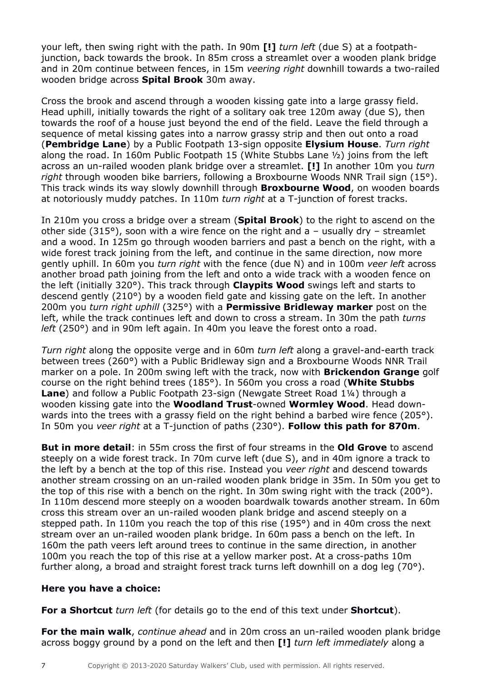your left, then swing right with the path. In 90m **[!]** *turn left* (due S) at a footpathjunction, back towards the brook. In 85m cross a streamlet over a wooden plank bridge and in 20m continue between fences, in 15m *veering right* downhill towards a two-railed wooden bridge across **Spital Brook** 30m away.

Cross the brook and ascend through a wooden kissing gate into a large grassy field. Head uphill, initially towards the right of a solitary oak tree 120m away (due S), then towards the roof of a house just beyond the end of the field. Leave the field through a sequence of metal kissing gates into a narrow grassy strip and then out onto a road (**Pembridge Lane**) by a Public Footpath 13-sign opposite **Elysium House**. *Turn right* along the road. In 160m Public Footpath 15 (White Stubbs Lane  $\frac{1}{2}$ ) joins from the left across an un-railed wooden plank bridge over a streamlet. **[!]** In another 10m you *turn right* through wooden bike barriers, following a Broxbourne Woods NNR Trail sign (15°). This track winds its way slowly downhill through **Broxbourne Wood**, on wooden boards at notoriously muddy patches. In 110m *turn right* at a T-junction of forest tracks.

In 210m you cross a bridge over a stream (**Spital Brook**) to the right to ascend on the other side (315 $\degree$ ), soon with a wire fence on the right and a – usually dry – streamlet and a wood. In 125m go through wooden barriers and past a bench on the right, with a wide forest track joining from the left, and continue in the same direction, now more gently uphill. In 60m you *turn right* with the fence (due N) and in 100m *veer left* across another broad path joining from the left and onto a wide track with a wooden fence on the left (initially 320°). This track through **Claypits Wood** swings left and starts to descend gently (210°) by a wooden field gate and kissing gate on the left. In another 200m you *turn right uphill* (325°) with a **Permissive Bridleway marker** post on the left, while the track continues left and down to cross a stream. In 30m the path *turns left* (250°) and in 90m left again. In 40m you leave the forest onto a road.

*Turn right* along the opposite verge and in 60m *turn left* along a gravel-and-earth track between trees (260°) with a Public Bridleway sign and a Broxbourne Woods NNR Trail marker on a pole. In 200m swing left with the track, now with **Brickendon Grange** golf course on the right behind trees (185°). In 560m you cross a road (**White Stubbs Lane**) and follow a Public Footpath 23-sign (Newgate Street Road 1¼) through a wooden kissing gate into the **Woodland Trust**-owned **Wormley Wood**. Head downwards into the trees with a grassy field on the right behind a barbed wire fence (205°). In 50m you *veer right* at a T-junction of paths (230°). **Follow this path for 870m**.

**But in more detail**: in 55m cross the first of four streams in the **Old Grove** to ascend steeply on a wide forest track. In 70m curve left (due S), and in 40m ignore a track to the left by a bench at the top of this rise. Instead you *veer right* and descend towards another stream crossing on an un-railed wooden plank bridge in 35m. In 50m you get to the top of this rise with a bench on the right. In 30m swing right with the track (200°). In 110m descend more steeply on a wooden boardwalk towards another stream. In 60m cross this stream over an un-railed wooden plank bridge and ascend steeply on a stepped path. In 110m you reach the top of this rise (195°) and in 40m cross the next stream over an un-railed wooden plank bridge. In 60m pass a bench on the left. In 160m the path veers left around trees to continue in the same direction, in another 100m you reach the top of this rise at a yellow marker post. At a cross-paths 10m further along, a broad and straight forest track turns left downhill on a dog leg (70°).

## **Here you have a choice:**

**For a Shortcut** *turn left* (for details go to the end of this text under **Shortcut**).

**For the main walk**, *continue ahead* and in 20m cross an un-railed wooden plank bridge across boggy ground by a pond on the left and then **[!]** *turn left immediately* along a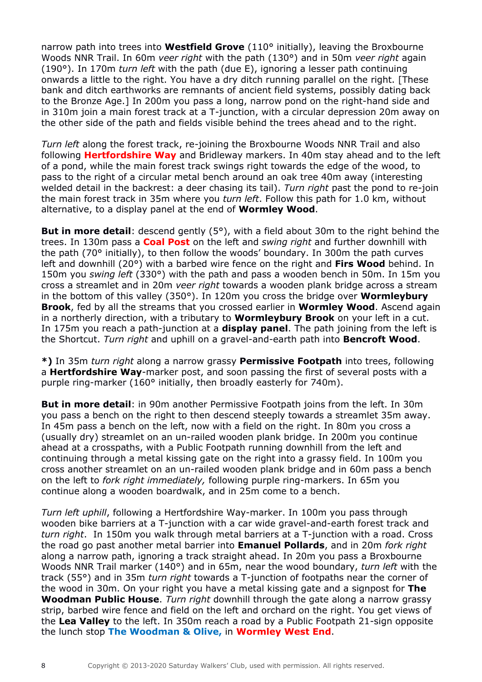narrow path into trees into **Westfield Grove** (110° initially), leaving the Broxbourne Woods NNR Trail. In 60m *veer right* with the path (130°) and in 50m *veer right* again (190°). In 170m *turn left* with the path (due E), ignoring a lesser path continuing onwards a little to the right. You have a dry ditch running parallel on the right. [These bank and ditch earthworks are remnants of ancient field systems, possibly dating back to the Bronze Age.] In 200m you pass a long, narrow pond on the right-hand side and in 310m join a main forest track at a T-junction, with a circular depression 20m away on the other side of the path and fields visible behind the trees ahead and to the right.

*Turn left* along the forest track, re-joining the Broxbourne Woods NNR Trail and also following **Hertfordshire Way** and Bridleway markers. In 40m stay ahead and to the left of a pond, while the main forest track swings right towards the edge of the wood, to pass to the right of a circular metal bench around an oak tree 40m away (interesting welded detail in the backrest: a deer chasing its tail). *Turn right* past the pond to re-join the main forest track in 35m where you *turn left*. Follow this path for 1.0 km, without alternative, to a display panel at the end of **Wormley Wood**.

**But in more detail**: descend gently (5°), with a field about 30m to the right behind the trees. In 130m pass a **Coal Post** on the left and *swing right* and further downhill with the path (70° initially), to then follow the woods' boundary. In 300m the path curves left and downhill (20°) with a barbed wire fence on the right and **Firs Wood** behind. In 150m you *swing left* (330°) with the path and pass a wooden bench in 50m. In 15m you cross a streamlet and in 20m *veer right* towards a wooden plank bridge across a stream in the bottom of this valley (350°). In 120m you cross the bridge over **Wormleybury Brook**, fed by all the streams that you crossed earlier in **Wormley Wood**. Ascend again in a northerly direction, with a tributary to **Wormleybury Brook** on your left in a cut. In 175m you reach a path-junction at a **display panel**. The path joining from the left is the Shortcut. *Turn right* and uphill on a gravel-and-earth path into **Bencroft Wood**.

**\*)** In 35m *turn right* along a narrow grassy **Permissive Footpath** into trees, following a **Hertfordshire Way**-marker post, and soon passing the first of several posts with a purple ring-marker (160° initially, then broadly easterly for 740m).

**But in more detail**: in 90m another Permissive Footpath joins from the left. In 30m you pass a bench on the right to then descend steeply towards a streamlet 35m away. In 45m pass a bench on the left, now with a field on the right. In 80m you cross a (usually dry) streamlet on an un-railed wooden plank bridge. In 200m you continue ahead at a crosspaths, with a Public Footpath running downhill from the left and continuing through a metal kissing gate on the right into a grassy field. In 100m you cross another streamlet on an un-railed wooden plank bridge and in 60m pass a bench on the left to *fork right immediately,* following purple ring-markers. In 65m you continue along a wooden boardwalk, and in 25m come to a bench.

*Turn left uphill*, following a Hertfordshire Way-marker. In 100m you pass through wooden bike barriers at a T-junction with a car wide gravel-and-earth forest track and *turn right*. In 150m you walk through metal barriers at a T-junction with a road. Cross the road go past another metal barrier into **Emanuel Pollards**, and in 20m *fork right* along a narrow path, ignoring a track straight ahead. In 20m you pass a Broxbourne Woods NNR Trail marker (140°) and in 65m, near the wood boundary, *turn left* with the track (55°) and in 35m *turn right* towards a T-junction of footpaths near the corner of the wood in 30m. On your right you have a metal kissing gate and a signpost for **The Woodman Public House**. *Turn right* downhill through the gate along a narrow grassy strip, barbed wire fence and field on the left and orchard on the right. You get views of the **Lea Valley** to the left. In 350m reach a road by a Public Footpath 21-sign opposite the lunch stop **The Woodman & Olive,** in **Wormley West End**.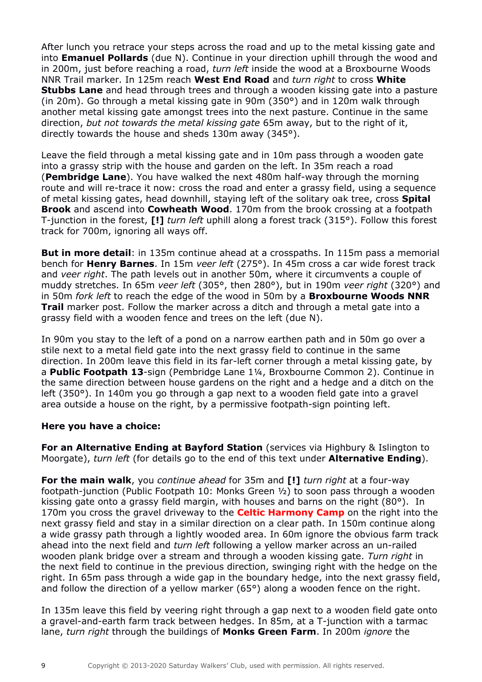After lunch you retrace your steps across the road and up to the metal kissing gate and into **Emanuel Pollards** (due N). Continue in your direction uphill through the wood and in 200m, just before reaching a road, *turn left* inside the wood at a Broxbourne Woods NNR Trail marker. In 125m reach **West End Road** and *turn right* to cross **White Stubbs Lane** and head through trees and through a wooden kissing gate into a pasture (in 20m). Go through a metal kissing gate in 90m (350°) and in 120m walk through another metal kissing gate amongst trees into the next pasture. Continue in the same direction, *but not towards the metal kissing gate* 65m away, but to the right of it, directly towards the house and sheds 130m away (345°).

Leave the field through a metal kissing gate and in 10m pass through a wooden gate into a grassy strip with the house and garden on the left. In 35m reach a road (**Pembridge Lane**). You have walked the next 480m half-way through the morning route and will re-trace it now: cross the road and enter a grassy field, using a sequence of metal kissing gates, head downhill, staying left of the solitary oak tree, cross **Spital Brook** and ascend into **Cowheath Wood**. 170m from the brook crossing at a footpath T-junction in the forest, **[!]** *turn left* uphill along a forest track (315°). Follow this forest track for 700m, ignoring all ways off.

**But in more detail**: in 135m continue ahead at a crosspaths. In 115m pass a memorial bench for **Henry Barnes**. In 15m *veer left* (275°). In 45m cross a car wide forest track and *veer right*. The path levels out in another 50m, where it circumvents a couple of muddy stretches. In 65m *veer left* (305°, then 280°), but in 190m *veer right* (320°) and in 50m *fork left* to reach the edge of the wood in 50m by a **Broxbourne Woods NNR Trail** marker post. Follow the marker across a ditch and through a metal gate into a grassy field with a wooden fence and trees on the left (due N).

In 90m you stay to the left of a pond on a narrow earthen path and in 50m go over a stile next to a metal field gate into the next grassy field to continue in the same direction. In 200m leave this field in its far-left corner through a metal kissing gate, by a **Public Footpath 13**-sign (Pembridge Lane 1¼, Broxbourne Common 2). Continue in the same direction between house gardens on the right and a hedge and a ditch on the left (350°). In 140m you go through a gap next to a wooden field gate into a gravel area outside a house on the right, by a permissive footpath-sign pointing left.

## **Here you have a choice:**

**For an Alternative Ending at Bayford Station** (services via Highbury & Islington to Moorgate), *turn left* (for details go to the end of this text under **Alternative Ending**).

**For the main walk**, you *continue ahead* for 35m and **[!]** *turn right* at a four-way footpath-junction (Public Footpath 10: Monks Green ½) to soon pass through a wooden kissing gate onto a grassy field margin, with houses and barns on the right (80°). In 170m you cross the gravel driveway to the **Celtic Harmony Camp** on the right into the next grassy field and stay in a similar direction on a clear path. In 150m continue along a wide grassy path through a lightly wooded area. In 60m ignore the obvious farm track ahead into the next field and *turn left* following a yellow marker across an un-railed wooden plank bridge over a stream and through a wooden kissing gate. *Turn right* in the next field to continue in the previous direction, swinging right with the hedge on the right. In 65m pass through a wide gap in the boundary hedge, into the next grassy field, and follow the direction of a yellow marker (65°) along a wooden fence on the right.

In 135m leave this field by veering right through a gap next to a wooden field gate onto a gravel-and-earth farm track between hedges. In 85m, at a T-junction with a tarmac lane, *turn right* through the buildings of **Monks Green Farm**. In 200m *ignore* the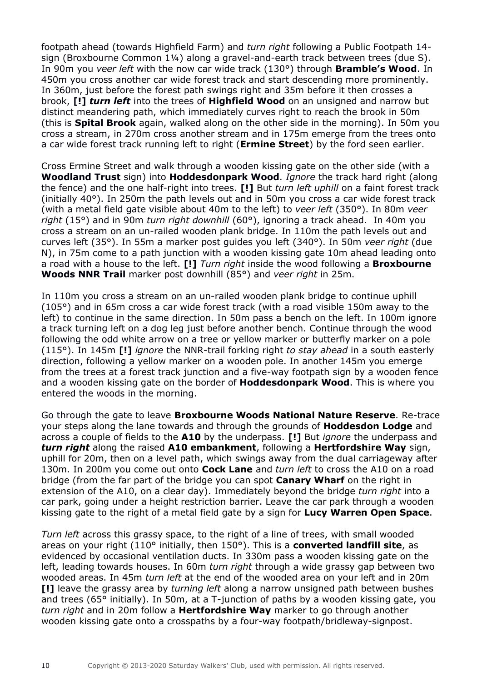footpath ahead (towards Highfield Farm) and *turn right* following a Public Footpath 14 sign (Broxbourne Common 1¼) along a gravel-and-earth track between trees (due S). In 90m you *veer left* with the now car wide track (130°) through **Bramble's Wood**. In 450m you cross another car wide forest track and start descending more prominently. In 360m, just before the forest path swings right and 35m before it then crosses a brook, **[!]** *turn left* into the trees of **Highfield Wood** on an unsigned and narrow but distinct meandering path, which immediately curves right to reach the brook in 50m (this is **Spital Brook** again, walked along on the other side in the morning). In 50m you cross a stream, in 270m cross another stream and in 175m emerge from the trees onto a car wide forest track running left to right (**Ermine Street**) by the ford seen earlier.

Cross Ermine Street and walk through a wooden kissing gate on the other side (with a **Woodland Trust** sign) into **Hoddesdonpark Wood**. *Ignore* the track hard right (along the fence) and the one half-right into trees. **[!]** But *turn left uphill* on a faint forest track (initially 40°). In 250m the path levels out and in 50m you cross a car wide forest track (with a metal field gate visible about 40m to the left) to *veer left* (350°). In 80m *veer right* (15°) and in 90m *turn right downhill* (60°), ignoring a track ahead. In 40m you cross a stream on an un-railed wooden plank bridge. In 110m the path levels out and curves left (35°). In 55m a marker post guides you left (340°). In 50m *veer right* (due N), in 75m come to a path junction with a wooden kissing gate 10m ahead leading onto a road with a house to the left. **[!]** *Turn right* inside the wood following a **Broxbourne Woods NNR Trail** marker post downhill (85°) and *veer right* in 25m.

In 110m you cross a stream on an un-railed wooden plank bridge to continue uphill (105°) and in 65m cross a car wide forest track (with a road visible 150m away to the left) to continue in the same direction. In 50m pass a bench on the left. In 100m ignore a track turning left on a dog leg just before another bench. Continue through the wood following the odd white arrow on a tree or yellow marker or butterfly marker on a pole (115°). In 145m **[!]** *ignore* the NNR-trail forking right *to stay ahead* in a south easterly direction, following a yellow marker on a wooden pole. In another 145m you emerge from the trees at a forest track junction and a five-way footpath sign by a wooden fence and a wooden kissing gate on the border of **Hoddesdonpark Wood**. This is where you entered the woods in the morning.

Go through the gate to leave **Broxbourne Woods National Nature Reserve**. Re-trace your steps along the lane towards and through the grounds of **Hoddesdon Lodge** and across a couple of fields to the **A10** by the underpass. **[!]** But *ignore* the underpass and *turn right* along the raised **A10 embankment**, following a **Hertfordshire Way** sign, uphill for 20m, then on a level path, which swings away from the dual carriageway after 130m. In 200m you come out onto **Cock Lane** and *turn left* to cross the A10 on a road bridge (from the far part of the bridge you can spot **Canary Wharf** on the right in extension of the A10, on a clear day). Immediately beyond the bridge *turn right* into a car park, going under a height restriction barrier. Leave the car park through a wooden kissing gate to the right of a metal field gate by a sign for **Lucy Warren Open Space**.

*Turn left* across this grassy space, to the right of a line of trees, with small wooded areas on your right (110° initially, then 150°). This is a **converted landfill site**, as evidenced by occasional ventilation ducts. In 330m pass a wooden kissing gate on the left, leading towards houses. In 60m *turn right* through a wide grassy gap between two wooded areas. In 45m *turn left* at the end of the wooded area on your left and in 20m **[!]** leave the grassy area by *turning left* along a narrow unsigned path between bushes and trees (65° initially). In 50m, at a T-junction of paths by a wooden kissing gate, you *turn right* and in 20m follow a **Hertfordshire Way** marker to go through another wooden kissing gate onto a crosspaths by a four-way footpath/bridleway-signpost.